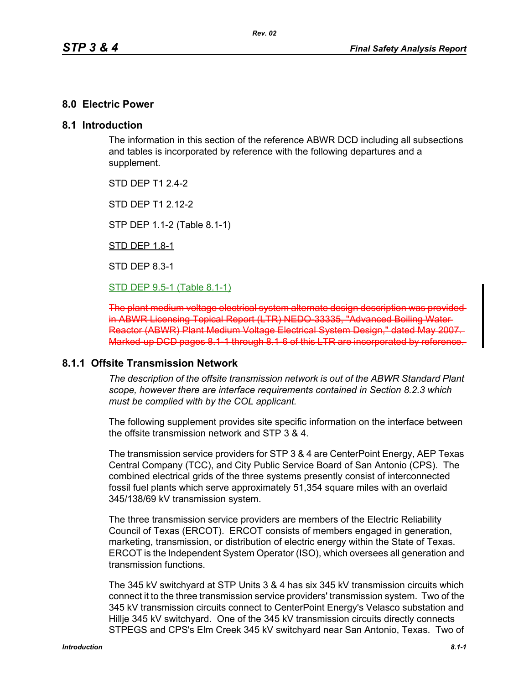### **8.0 Electric Power**

### **8.1 Introduction**

The information in this section of the reference ABWR DCD including all subsections and tables is incorporated by reference with the following departures and a supplement.

STD DFP T1 2 4-2

STD DEP T1 2.12-2

STP DEP 1.1-2 (Table 8.1-1)

STD DEP 1.8-1

STD DEP 8.3-1

STD DEP 9.5-1 (Table 8.1-1)

The plant medium voltage electrical system alternate design in ABWR Licensing Topical Report (LTR) NEDO-33335, "Advanced Boiling Water Reactor (ABWR) Plant Medium Voltage Electrical System Design," dated May 2007. Marked-up DCD pages 8.1-1 through 8.1-6 of this LTR are incorporated by reference.

### **8.1.1 Offsite Transmission Network**

*The description of the offsite transmission network is out of the ABWR Standard Plant scope, however there are interface requirements contained in Section 8.2.3 which must be complied with by the COL applicant.* 

The following supplement provides site specific information on the interface between the offsite transmission network and STP 3 & 4.

The transmission service providers for STP 3 & 4 are CenterPoint Energy, AEP Texas Central Company (TCC), and City Public Service Board of San Antonio (CPS). The combined electrical grids of the three systems presently consist of interconnected fossil fuel plants which serve approximately 51,354 square miles with an overlaid 345/138/69 kV transmission system.

The three transmission service providers are members of the Electric Reliability Council of Texas (ERCOT). ERCOT consists of members engaged in generation, marketing, transmission, or distribution of electric energy within the State of Texas. ERCOT is the Independent System Operator (ISO), which oversees all generation and transmission functions.

The 345 kV switchyard at STP Units 3 & 4 has six 345 kV transmission circuits which connect it to the three transmission service providers' transmission system. Two of the 345 kV transmission circuits connect to CenterPoint Energy's Velasco substation and Hillje 345 kV switchyard. One of the 345 kV transmission circuits directly connects STPEGS and CPS's Elm Creek 345 kV switchyard near San Antonio, Texas. Two of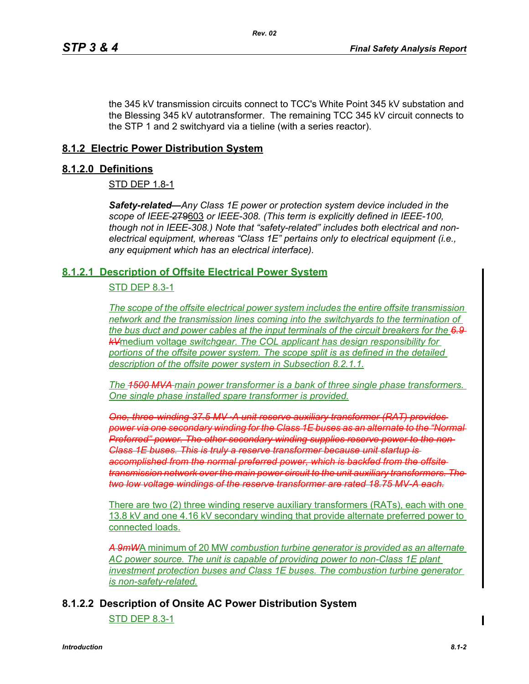the 345 kV transmission circuits connect to TCC's White Point 345 kV substation and the Blessing 345 kV autotransformer. The remaining TCC 345 kV circuit connects to the STP 1 and 2 switchyard via a tieline (with a series reactor).

# **8.1.2 Electric Power Distribution System**

## **8.1.2.0 Definitions**

### STD DEP 1.8-1

*Safety-related—Any Class 1E power or protection system device included in the scope of IEEE-*279603 *or IEEE-308. (This term is explicitly defined in IEEE-100, though not in IEEE-308.) Note that "safety-related" includes both electrical and nonelectrical equipment, whereas "Class 1E" pertains only to electrical equipment (i.e., any equipment which has an electrical interface).*

## **8.1.2.1 Description of Offsite Electrical Power System**

# STD DEP 8.3-1

*The scope of the offsite electrical power system includes the entire offsite transmission network and the transmission lines coming into the switchyards to the termination of the bus duct and power cables at the input terminals of the circuit breakers for the 6.9 kV*medium voltage *switchgear. The COL applicant has design responsibility for portions of the offsite power system. The scope split is as defined in the detailed description of the offsite power system in Subsection 8.2.1.1.*

*The 1500 MVA main power transformer is a bank of three single phase transformers. One single phase installed spare transformer is provided.*

*One, three-winding 37.5 MV ·A unit reserve auxiliary transformer (RAT) provides power via one secondary winding for the Class 1E buses as an alternate to the "Normal Preferred" power. The other secondary winding supplies reserve power to the non-Class 1E buses. This is truly a reserve transformer because unit startup is accomplished from the normal preferred power, which is backfed from the offsite transmission network over the main power circuit to the unit auxiliary transformers. The two low voltage windings of the reserve transformer are rated 18.75 MV-A each.*

There are two (2) three winding reserve auxiliary transformers (RATs), each with one 13.8 kV and one 4.16 kV secondary winding that provide alternate preferred power to connected loads.

*A 9mW*A minimum of 20 MW *combustion turbine generator is provided as an alternate AC power source. The unit is capable of providing power to non-Class 1E plant investment protection buses and Class 1E buses. The combustion turbine generator is non-safety-related.*

# **8.1.2.2 Description of Onsite AC Power Distribution System**

STD DEP 8.3-1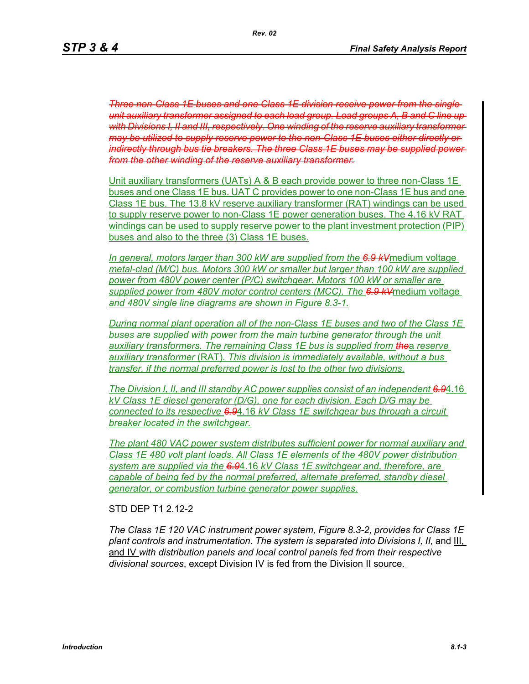**Three non-Class 1E buses and one Class 1E division receive power from the** *unit auxiliary transformer assigned to each load group. Load groups A, B and C line up with Divisions I, II and III, respectively. One winding of the reserve auxiliary transformer may be utilized to supply reserve power to the non-Class 1E buses either directly or indirectly through bus tie breakers. The three Class 1E buses may be supplied power from the other winding of the reserve auxiliary transformer.*

Unit auxiliary transformers (UATs) A & B each provide power to three non-Class 1E buses and one Class 1E bus. UAT C provides power to one non-Class 1E bus and one Class 1E bus. The 13.8 kV reserve auxiliary transformer (RAT) windings can be used to supply reserve power to non-Class 1E power generation buses. The 4.16 kV RAT windings can be used to supply reserve power to the plant investment protection (PIP) buses and also to the three (3) Class 1E buses.

*In general, motors larger than 300 kW are supplied from the 6.9 kV*medium voltage *metal-clad (M/C) bus. Motors 300 kW or smaller but larger than 100 kW are supplied power from 480V power center (P/C) switchgear. Motors 100 kW or smaller are supplied power from 480V motor control centers (MCC). The 6.9 kV*medium voltage *and 480V single line diagrams are shown in Figure 8.3-1.*

*During normal plant operation all of the non-Class 1E buses and two of the Class 1E buses are supplied with power from the main turbine generator through the unit auxiliary transformers. The remaining Class 1E bus is supplied from the*a *reserve auxiliary transformer* (RAT)*. This division is immediately available, without a bus transfer, if the normal preferred power is lost to the other two divisions.*

*The Division I, II, and III standby AC power supplies consist of an independent 6.9*4.16 *kV Class 1E diesel generator (D/G), one for each division. Each D/G may be connected to its respective 6.9*4.16 *kV Class 1E switchgear bus through a circuit breaker located in the switchgear.*

*The plant 480 VAC power system distributes sufficient power for normal auxiliary and Class 1E 480 volt plant loads. All Class 1E elements of the 480V power distribution system are supplied via the 6.9*4.16 *kV Class 1E switchgear and, therefore, are capable of being fed by the normal preferred, alternate preferred, standby diesel generator, or combustion turbine generator power supplies.*

#### STD DEP T1 2.12-2

*The Class 1E 120 VAC instrument power system, Figure 8.3-2, provides for Class 1E*  plant controls and instrumentation. The system is separated into Divisions I, II, and III, and IV *with distribution panels and local control panels fed from their respective divisional sources*, except Division IV is fed from the Division II source.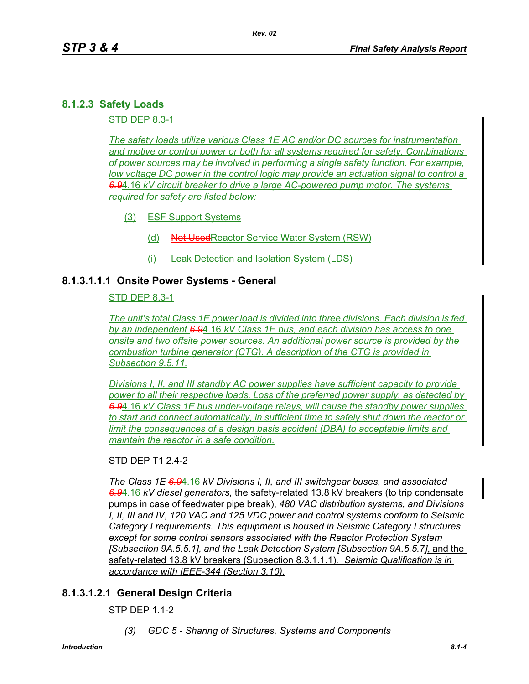# **8.1.2.3 Safety Loads**

STD DEP 8.3-1

*The safety loads utilize various Class 1E AC and/or DC sources for instrumentation and motive or control power or both for all systems required for safety. Combinations of power sources may be involved in performing a single safety function. For example, low voltage DC power in the control logic may provide an actuation signal to control a 6.9*4.16 *kV circuit breaker to drive a large AC-powered pump motor. The systems required for safety are listed below:*

- (3) ESF Support Systems
	- (d) Not UsedReactor Service Water System (RSW)
	- (i) Leak Detection and Isolation System (LDS)

# **8.1.3.1.1.1 Onsite Power Systems - General**

### STD DEP 8.3-1

*The unit's total Class 1E power load is divided into three divisions. Each division is fed by an independent 6.9*4.16 *kV Class 1E bus, and each division has access to one onsite and two offsite power sources. An additional power source is provided by the combustion turbine generator (CTG). A description of the CTG is provided in Subsection 9.5.11.*

*Divisions I, II, and III standby AC power supplies have sufficient capacity to provide power to all their respective loads. Loss of the preferred power supply, as detected by 6.9*4.16 *kV Class 1E bus under-voltage relays, will cause the standby power supplies to start and connect automatically, in sufficient time to safely shut down the reactor or limit the consequences of a design basis accident (DBA) to acceptable limits and maintain the reactor in a safe condition.*

### STD DFP T1 2 4-2

*The Class 1E 6.9*4.16 *kV Divisions I, II, and III switchgear buses, and associated 6.9*4.16 *kV diesel generators,* the safety-related 13.8 kV breakers (to trip condensate pumps in case of feedwater pipe break), *480 VAC distribution systems, and Divisions I, II, III and IV, 120 VAC and 125 VDC power and control systems conform to Seismic Category I requirements. This equipment is housed in Seismic Category I structures except for some control sensors associated with the Reactor Protection System [Subsection 9A.5.5.1], and the Leak Detection System [Subsection 9A.5.5.7]*, and the safety-related 13.8 kV breakers (Subsection 8.3.1.1.1)*. Seismic Qualification is in accordance with IEEE-344 (Section 3.10).*

# **8.1.3.1.2.1 General Design Criteria**

STP DEP 1.1-2

*(3) GDC 5 - Sharing of Structures, Systems and Components*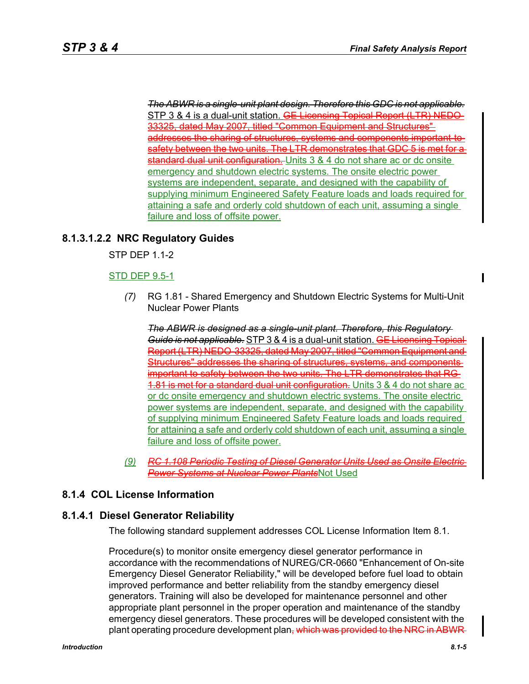*The ABWR is a single-unit plant design. Therefore this GDC is not applicable.* STP 3 & 4 is a dual-unit station. GE Licensing Topical Report (LTR) NEDO-33325, dated May 2007, titled "Common Equipment and Structures" addresses the sharing of structures, systems and components important safety between the two units. The LTR demonstrates that GDC 5 is met for a standard dual unit configuration. Units 3 & 4 do not share ac or dc onsite emergency and shutdown electric systems. The onsite electric power systems are independent, separate, and designed with the capability of supplying minimum Engineered Safety Feature loads and loads required for attaining a safe and orderly cold shutdown of each unit, assuming a single failure and loss of offsite power.

## **8.1.3.1.2.2 NRC Regulatory Guides**

STP DEP 1.1-2

#### STD DEP 9.5-1

*(7)* RG 1.81 - Shared Emergency and Shutdown Electric Systems for Multi-Unit Nuclear Power Plants

*The ABWR is designed as a single-unit plant. Therefore, this Regulatory Guide is not applicable*. STP 3 & 4 is a dual-unit station. GE Licensing Topic Report (LTR) NEDO-33325, dated May 2007, titled "Common Equipment and Structures" addresses the sharing of structures, systems, and components important to safety between the two units. The LTR demonstrates that RG **1.81 is met for a standard dual unit configuration.** Units 3 & 4 do not share ac or dc onsite emergency and shutdown electric systems. The onsite electric power systems are independent, separate, and designed with the capability of supplying minimum Engineered Safety Feature loads and loads required for attaining a safe and orderly cold shutdown of each unit, assuming a single failure and loss of offsite power.

*(9) RC 1.108 Periodic Testing of Diesel Generator Units Used as Power Systems at Nuclear Power Plants*Not Used

# **8.1.4 COL License Information**

#### **8.1.4.1 Diesel Generator Reliability**

The following standard supplement addresses COL License Information Item 8.1.

Procedure(s) to monitor onsite emergency diesel generator performance in accordance with the recommendations of NUREG/CR-0660 "Enhancement of On-site Emergency Diesel Generator Reliability," will be developed before fuel load to obtain improved performance and better reliability from the standby emergency diesel generators. Training will also be developed for maintenance personnel and other appropriate plant personnel in the proper operation and maintenance of the standby emergency diesel generators. These procedures will be developed consistent with the plant operating procedure development plan, which was provided to the NRC in ABWR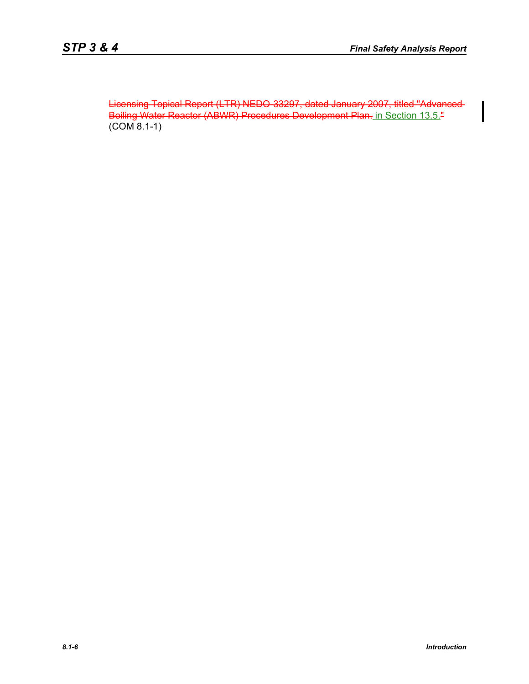Licensing Topical Report (LTR) NEDO-33297, dated January 2007, titled "Advanced Boiling Water Reactor (ABWR) Procedures Development Plan. in Section 13.5." (COM 8.1-1)